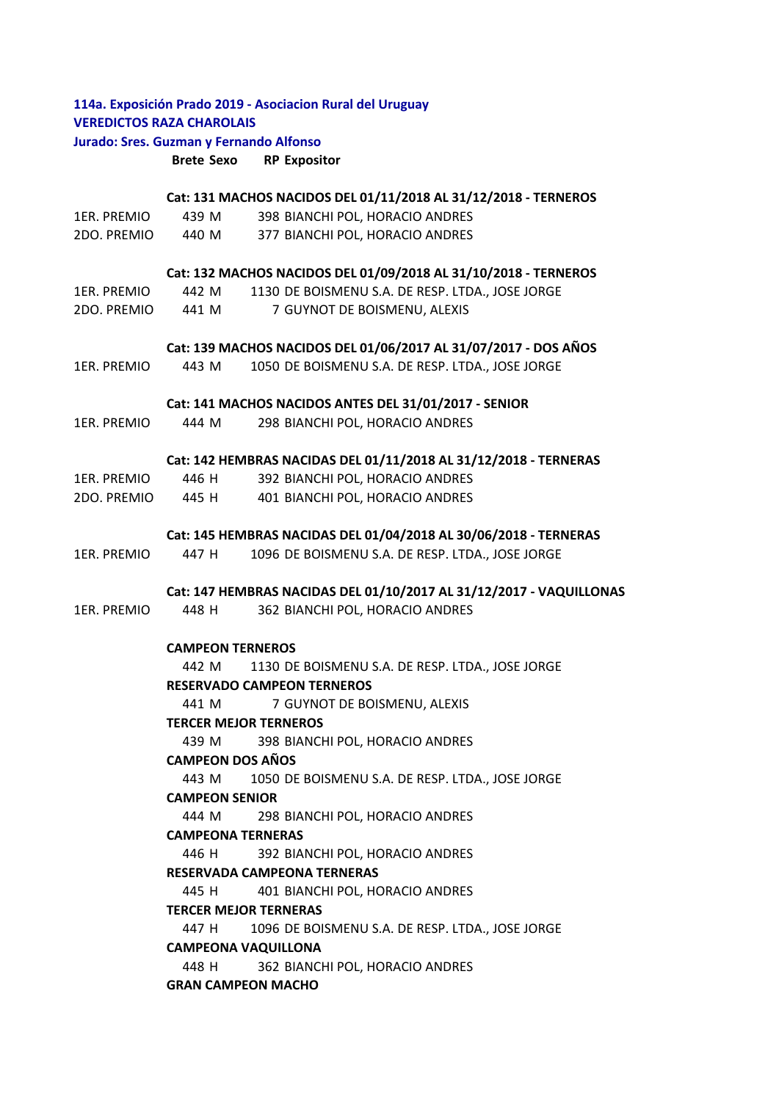## **114a. Exposición Prado 2019 ‐ Asociacion Rural del Uruguay VEREDICTOS RAZA CHAROLAIS Jurado: Sres. Guzman y Fernando Alfonso**

**Brete Sexo RP Expositor**

## **Cat: 131 MACHOS NACIDOS DEL 01/11/2018 AL 31/12/2018 ‐ TERNEROS**

|  | 1ER. PREMIO | 439 M | 398 BIANCHI POL, HORACIO ANDRES |
|--|-------------|-------|---------------------------------|
|--|-------------|-------|---------------------------------|

2DO. PREMIO 440 M 377 BIANCHI POL, HORACIO ANDRES

### **Cat: 132 MACHOS NACIDOS DEL 01/09/2018 AL 31/10/2018 ‐ TERNEROS**

| 1ER. PREMIO | 442 M | 1130 DE BOISMENU S.A. DE RESP. LTDA., JOSE JORGE |
|-------------|-------|--------------------------------------------------|
| 2DO. PREMIO | 441 M | 7 GUYNOT DE BOISMENU, ALEXIS                     |

### **Cat: 139 MACHOS NACIDOS DEL 01/06/2017 AL 31/07/2017 ‐ DOS AÑOS**

1ER. PREMIO 443 M 1050 DE BOISMENU S.A. DE RESP. LTDA., JOSE JORGE

### **Cat: 141 MACHOS NACIDOS ANTES DEL 31/01/2017 ‐ SENIOR**

1ER. PREMIO 444 M 298 BIANCHI POL, HORACIO ANDRES

### **Cat: 142 HEMBRAS NACIDAS DEL 01/11/2018 AL 31/12/2018 ‐ TERNERAS**

| 1ER. PREMIO | 446 H | 392 BIANCHI POL, HORACIO ANDRES |
|-------------|-------|---------------------------------|
| 2DO. PREMIO | 445 H | 401 BIANCHI POL, HORACIO ANDRES |

### **Cat: 145 HEMBRAS NACIDAS DEL 01/04/2018 AL 30/06/2018 ‐ TERNERAS**

1ER. PREMIO 447 H 1096 DE BOISMENU S.A. DE RESP. LTDA., JOSE JORGE

### **Cat: 147 HEMBRAS NACIDAS DEL 01/10/2017 AL 31/12/2017 ‐ VAQUILLONAS**

1ER. PREMIO 448 H 362 BIANCHI POL, HORACIO ANDRES

## **CAMPEON TERNEROS**

442 M 1130 DE BOISMENU S.A. DE RESP. LTDA., JOSE JORGE

# **RESERVADO CAMPEON TERNEROS**

441 M 7 GUYNOT DE BOISMENU, ALEXIS

### **TERCER MEJOR TERNEROS**

439 M 398 BIANCHI POL, HORACIO ANDRES

### **CAMPEON DOS AÑOS**

443 M 1050 DE BOISMENU S.A. DE RESP. LTDA., JOSE JORGE

## **CAMPEON SENIOR**

444 M 298 BIANCHI POL, HORACIO ANDRES

### **CAMPEONA TERNERAS**

446 H 392 BIANCHI POL, HORACIO ANDRES

## **RESERVADA CAMPEONA TERNERAS**

445 H 401 BIANCHI POL, HORACIO ANDRES

## **TERCER MEJOR TERNERAS**

447 H 1096 DE BOISMENU S.A. DE RESP. LTDA., JOSE JORGE 448 H 362 BIANCHI POL, HORACIO ANDRES **CAMPEONA VAQUILLONA** 

## **GRAN CAMPEON MACHO**